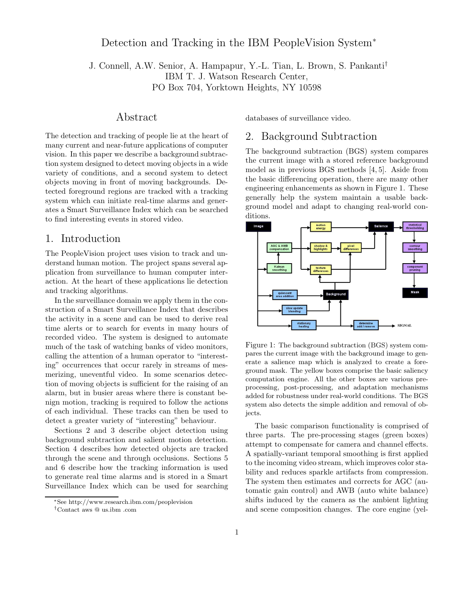J. Connell, A.W. Senior, A. Hampapur, Y.-L. Tian, L. Brown, S. Pankanti† IBM T. J. Watson Research Center,

PO Box 704, Yorktown Heights, NY 10598

### Abstract

The detection and tracking of people lie at the heart of many current and near-future applications of computer vision. In this paper we describe a background subtraction system designed to detect moving objects in a wide variety of conditions, and a second system to detect objects moving in front of moving backgrounds. Detected foreground regions are tracked with a tracking system which can initiate real-time alarms and generates a Smart Surveillance Index which can be searched to find interesting events in stored video.

### 1. Introduction

The PeopleVision project uses vision to track and understand human motion. The project spans several application from surveillance to human computer interaction. At the heart of these applications lie detection and tracking algorithms.

In the surveillance domain we apply them in the construction of a Smart Surveillance Index that describes the activity in a scene and can be used to derive real time alerts or to search for events in many hours of recorded video. The system is designed to automate much of the task of watching banks of video monitors, calling the attention of a human operator to "interesting" occurrences that occur rarely in streams of mesmerizing, uneventful video. In some scenarios detection of moving objects is sufficient for the raising of an alarm, but in busier areas where there is constant benign motion, tracking is required to follow the actions of each individual. These tracks can then be used to detect a greater variety of "interesting" behaviour.

Sections 2 and 3 describe object detection using background subtraction and salient motion detection. Section 4 describes how detected objects are tracked through the scene and through occlusions. Sections 5 and 6 describe how the tracking information is used to generate real time alarms and is stored in a Smart Surveillance Index which can be used for searching databases of surveillance video.

# 2. Background Subtraction

The background subtraction (BGS) system compares the current image with a stored reference background model as in previous BGS methods [4, 5]. Aside from the basic differencing operation, there are many other engineering enhancements as shown in Figure 1. These generally help the system maintain a usable background model and adapt to changing real-world conditions.



Figure 1: The background subtraction (BGS) system compares the current image with the background image to generate a salience map which is analyzed to create a foreground mask. The yellow boxes comprise the basic saliency computation engine. All the other boxes are various preprocessing, post-processing, and adaptation mechanisms added for robustness under real-world conditions. The BGS system also detects the simple addition and removal of objects.

The basic comparison functionality is comprised of three parts. The pre-processing stages (green boxes) attempt to compensate for camera and channel effects. A spatially-variant temporal smoothing is first applied to the incoming video stream, which improves color stability and reduces sparkle artifacts from compression. The system then estimates and corrects for AGC (automatic gain control) and AWB (auto white balance) shifts induced by the camera as the ambient lighting and scene composition changes. The core engine (yel-

<sup>∗</sup>See http://www.research.ibm.com/peoplevision †Contact aws @ us.ibm .com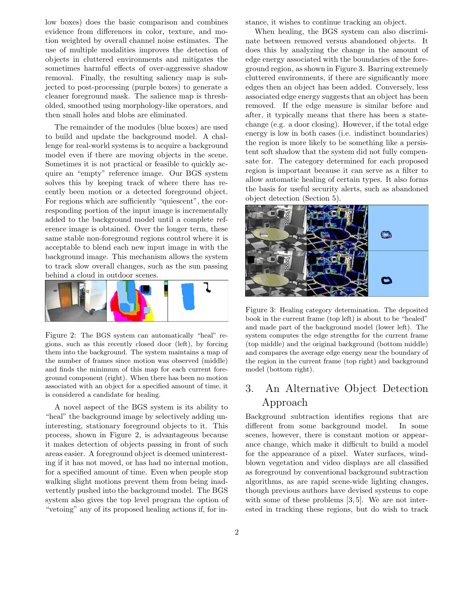low boxes) does the basic comparison and combines evidence from differences in color, texture, and motion weighted by overall channel noise estimates. The use of multiple modalities improves the detection of objects in cluttered environments and mitigates the sometimes harmful effects of over-aggressive shadow removal. Finally, the resulting saliency map is subjected to post-processing (purple boxes) to generate a cleaner foreground mask. The salience map is thresholded, smoothed using morphology-like operators, and then small holes and blobs are eliminated.

The remainder of the modules (blue boxes) are used to build and update the background model. A challenge for real-world systems is to acquire a background model even if there are moving objects in the scene. Sometimes it is not practical or feasible to quickly acquire an "empty" reference image. Our BGS system solves this by keeping track of where there has recently been motion or a detected foreground object. For regions which are sufficiently "quiescent", the corresponding portion of the input image is incrementally added to the background model until a complete reference image is obtained. Over the longer term, these same stable non-foreground regions control where it is acceptable to blend each new input image in with the background image. This mechanism allows the system to track slow overall changes, such as the sun passing behind a cloud in outdoor scenes.



Figure 2: The BGS system can automatically "heal" regions, such as this recently closed door (left), by forcing them into the background. The system maintains a map of the number of frames since motion was observed (middle) and finds the minimum of this map for each current foreground component (right). When there has been no motion associated with an object for a specified amount of time, it is considered a candidate for healing.

A novel aspect of the BGS system is its ability to "heal" the background image by selectively adding uninteresting, stationary foreground objects to it. This process, shown in Figure 2, is advantageous because it makes detection of objects passing in front of such areas easier. A foreground object is deemed uninteresting if it has not moved, or has had no internal motion, for a specified amount of time. Even when people stop walking slight motions prevent them from being inadvertently pushed into the background model. The BGS system also gives the top level program the option of "vetoing" any of its proposed healing actions if, for instance, it wishes to continue tracking an object.

When healing, the BGS system can also discriminate between removed versus abandoned objects. It does this by analyzing the change in the amount of edge energy associated with the boundaries of the foreground region, as shown in Figure 3. Barring extremely cluttered environments, if there are significantly more edges then an object has been added. Conversely, less associated edge energy suggests that an object has been removed. If the edge measure is similar before and after, it typically means that there has been a statechange (e.g. a door closing). However, if the total edge energy is low in both cases (i.e. indistinct boundaries) the region is more likely to be something like a persistent soft shadow that the system did not fully compensate for. The category determined for each proposed region is important because it can serve as a filter to allow automatic healing of certain types. It also forms the basis for useful security alerts, such as abandoned object detection (Section 5).



Figure 3: Healing category determination. The deposited book in the current frame (top left) is about to be "healed" and made part of the background model (lower left). The system computes the edge strengths for the current frame (top middle) and the original background (bottom middle) and compares the average edge energy near the boundary of the region in the current frame (top right) and background model (bottom right).

# 3. An Alternative Object Detection Approach

Background subtraction identifies regions that are different from some background model. In some scenes, however, there is constant motion or appearance change, which make it difficult to build a model for the appearance of a pixel. Water surfaces, windblown vegetation and video displays are all classified as foreground by conventional background subtraction algorithms, as are rapid scene-wide lighting changes, though previous authors have devised systems to cope with some of these problems [3, 5]. We are not interested in tracking these regions, but do wish to track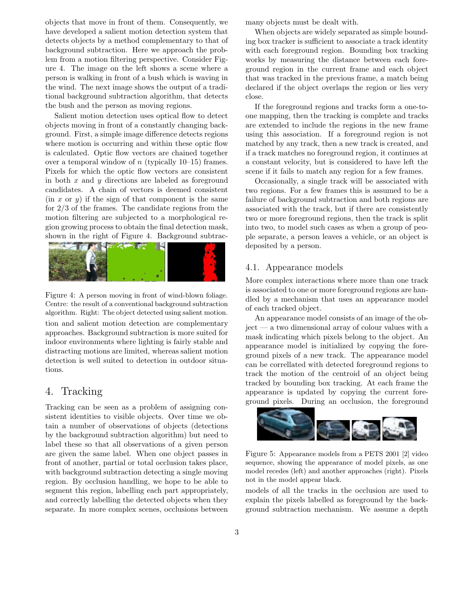objects that move in front of them. Consequently, we have developed a salient motion detection system that detects objects by a method complementary to that of background subtraction. Here we approach the problem from a motion filtering perspective. Consider Figure 4. The image on the left shows a scene where a person is walking in front of a bush which is waving in the wind. The next image shows the output of a traditional background subtraction algorithm, that detects the bush and the person as moving regions.

Salient motion detection uses optical flow to detect objects moving in front of a constantly changing background. First, a simple image difference detects regions where motion is occurring and within these optic flow is calculated. Optic flow vectors are chained together over a temporal window of  $n$  (typically 10–15) frames. Pixels for which the optic flow vectors are consistent in both  $x$  and  $y$  directions are labeled as foreground candidates. A chain of vectors is deemed consistent  $(in x or y)$  if the sign of that component is the same for 2/3 of the frames. The candidate regions from the motion filtering are subjected to a morphological region growing process to obtain the final detection mask, shown in the right of Figure 4. Background subtrac-



Figure 4: A person moving in front of wind-blown foliage. Centre: the result of a conventional background subtraction algorithm. Right: The object detected using salient motion. tion and salient motion detection are complementary approaches. Background subtraction is more suited for indoor environments where lighting is fairly stable and distracting motions are limited, whereas salient motion detection is well suited to detection in outdoor situations.

### 4. Tracking

Tracking can be seen as a problem of assigning consistent identities to visible objects. Over time we obtain a number of observations of objects (detections by the background subtraction algorithm) but need to label these so that all observations of a given person are given the same label. When one object passes in front of another, partial or total occlusion takes place, with background subtraction detecting a single moving region. By occlusion handling, we hope to be able to segment this region, labelling each part appropriately, and correctly labelling the detected objects when they separate. In more complex scenes, occlusions between

many objects must be dealt with.

When objects are widely separated as simple bounding box tracker is sufficient to associate a track identity with each foreground region. Bounding box tracking works by measuring the distance between each foreground region in the current frame and each object that was tracked in the previous frame, a match being declared if the object overlaps the region or lies very close.

If the foreground regions and tracks form a one-toone mapping, then the tracking is complete and tracks are extended to include the regions in the new frame using this association. If a foreground region is not matched by any track, then a new track is created, and if a track matches no foreground region, it continues at a constant velocity, but is considered to have left the scene if it fails to match any region for a few frames.

Occasionally, a single track will be associated with two regions. For a few frames this is assumed to be a failure of background subtraction and both regions are associated with the track, but if there are consistently two or more foreground regions, then the track is split into two, to model such cases as when a group of people separate, a person leaves a vehicle, or an object is deposited by a person.

#### 4.1. Appearance models

More complex interactions where more than one track is associated to one or more foreground regions are handled by a mechanism that uses an appearance model of each tracked object.

An appearance model consists of an image of the object — a two dimensional array of colour values with a mask indicating which pixels belong to the object. An appearance model is initialized by copying the foreground pixels of a new track. The appearance model can be correllated with detected foreground regions to track the motion of the centroid of an object being tracked by bounding box tracking. At each frame the appearance is updated by copying the current foreground pixels. During an occlusion, the foreground



Figure 5: Appearance models from a PETS 2001 [2] video sequence, showing the appearance of model pixels, as one model recedes (left) and another approaches (right). Pixels not in the model appear black.

models of all the tracks in the occlusion are used to explain the pixels labelled as foreground by the background subtraction mechanism. We assume a depth